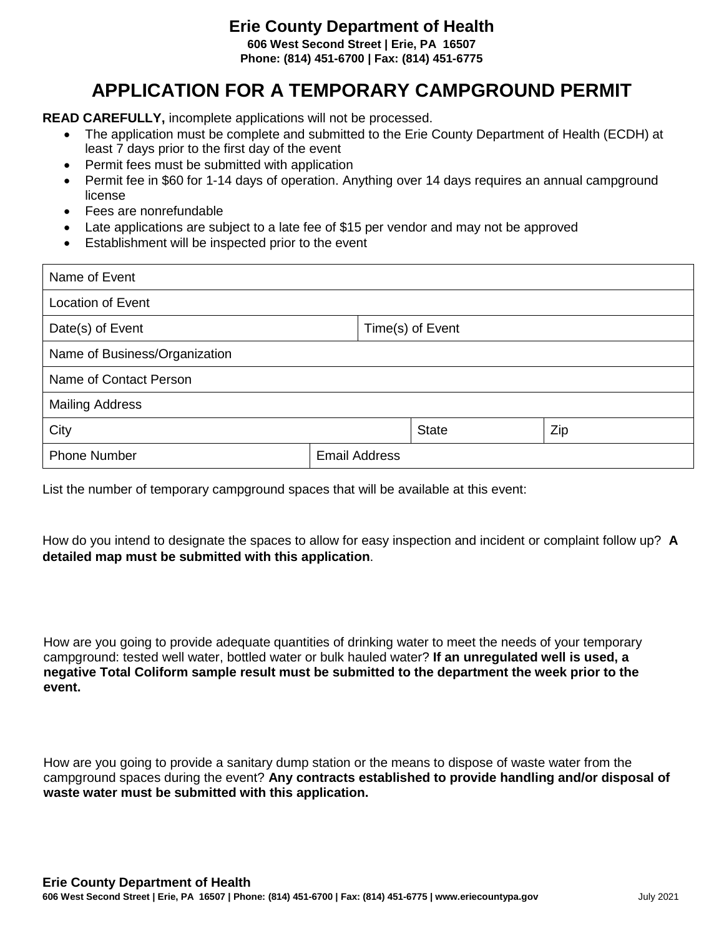## **Erie County Department of Health**

**606 West Second Street | Erie, PA 16507 Phone: (814) 451-6700 | Fax: (814) 451-6775**

## **APPLICATION FOR A TEMPORARY CAMPGROUND PERMIT**

**READ CAREFULLY,** incomplete applications will not be processed.

- The application must be complete and submitted to the Erie County Department of Health (ECDH) at least 7 days prior to the first day of the event
- Permit fees must be submitted with application
- Permit fee in \$60 for 1-14 days of operation. Anything over 14 days requires an annual campground license
- Fees are nonrefundable
- Late applications are subject to a late fee of \$15 per vendor and may not be approved
- Establishment will be inspected prior to the event

| Name of Event                 |                      |              |                  |  |  |
|-------------------------------|----------------------|--------------|------------------|--|--|
| <b>Location of Event</b>      |                      |              |                  |  |  |
| Date(s) of Event              |                      |              | Time(s) of Event |  |  |
| Name of Business/Organization |                      |              |                  |  |  |
| Name of Contact Person        |                      |              |                  |  |  |
| <b>Mailing Address</b>        |                      |              |                  |  |  |
| City                          |                      | <b>State</b> | Zip              |  |  |
| <b>Phone Number</b>           | <b>Email Address</b> |              |                  |  |  |

List the number of temporary campground spaces that will be available at this event:

How do you intend to designate the spaces to allow for easy inspection and incident or complaint follow up? **A detailed map must be submitted with this application**.

How are you going to provide adequate quantities of drinking water to meet the needs of your temporary campground: tested well water, bottled water or bulk hauled water? **If an unregulated well is used, a negative Total Coliform sample result must be submitted to the department the week prior to the event.**

How are you going to provide a sanitary dump station or the means to dispose of waste water from the campground spaces during the event? **Any contracts established to provide handling and/or disposal of waste water must be submitted with this application.**